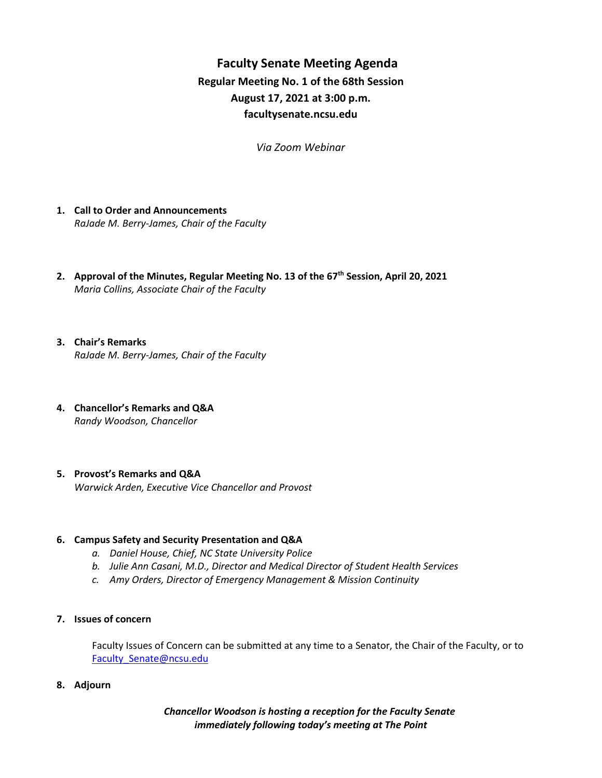# **Faculty Senate Meeting Agenda Regular Meeting No. 1 of the 68th Session August 17, 2021 at 3:00 p.m. [facultysenate.ncsu.edu](https://facultysenate.ncsu.edu/)**

*Via Zoom Webinar*

- **1. Call to Order and Announcements** *RaJade M. Berry-James, Chair of the Faculty*
- **2. Approval of the Minutes, Regular Meeting No. 13 of the 67 th Session, April 20, 2021** *Maria Collins, Associate Chair of the Faculty*
- **3. Chair's Remarks** *RaJade M. Berry-James, Chair of the Faculty*
- **4. Chancellor's Remarks and Q&A** *Randy Woodson, Chancellor*

### **5. Provost's Remarks and Q&A**

*Warwick Arden, Executive Vice Chancellor and Provost* 

### **6. Campus Safety and Security Presentation and Q&A**

- *a. Daniel House, Chief, NC State University Police*
- *b. Julie Ann Casani, M.D., Director and Medical Director of Student Health Services*
- *c. Amy Orders, Director of Emergency Management & Mission Continuity*
- **7. Issues of concern**

Faculty Issues of Concern can be submitted at any time to a Senator, the Chair of the Faculty, or to Faculty Senate@ncsu.edu

**8. Adjourn**

*Chancellor Woodson is hosting a reception for the Faculty Senate immediately following today's meeting at The Point*